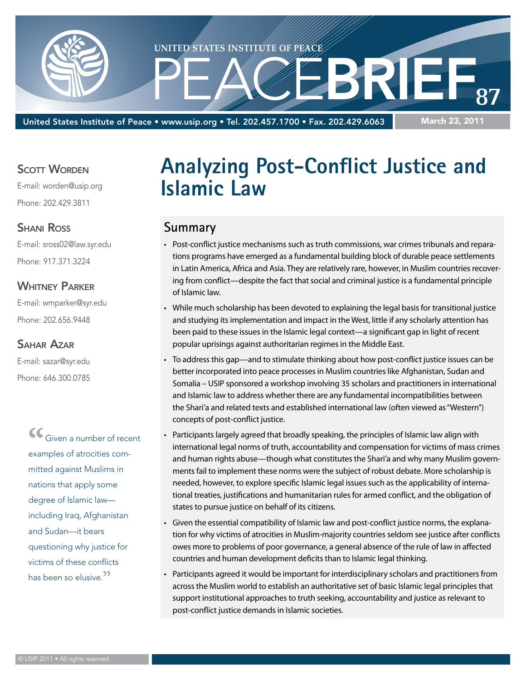

United States Institute of Peace • www.usip.org • Tel. 202.457.1700 • Fax. 202.429.6063

#### March 23, 2011

#### **SCOTT WORDEN**

E-mail: worden@usip.org Phone: 202.429.3811

#### **SHANI ROSS**

E-mail: sross02@law.syr.edu Phone: 917.371.3224

#### WHITNEY PARKER

E-mail: wmparker@syr.edu Phone: 202.656.9448

#### Sahar Azar

E-mail: sazar@syr.edu Phone: 646.300.0785

> **"**Given a number of recent examples of atrocities committed against Muslims in nations that apply some degree of Islamic law including Iraq, Afghanistan and Sudan—it bears questioning why justice for victims of these conflicts has been so elusive.**"**

# **Analyzing Post-Conflict Justice and Islamic Law**

# **Summary**

- • Post-conflict justice mechanisms such as truth commissions, war crimes tribunals and reparations programs have emerged as a fundamental building block of durable peace settlements in Latin America, Africa and Asia. They are relatively rare, however, in Muslim countries recovering from conflict—despite the fact that social and criminal justice is a fundamental principle of Islamic law.
- • While much scholarship has been devoted to explaining the legal basis for transitional justice and studying its implementation and impact in the West, little if any scholarly attention has been paid to these issues in the Islamic legal context—a significant gap in light of recent popular uprisings against authoritarian regimes in the Middle East.
- • To address this gap—and to stimulate thinking about how post-conflict justice issues can be better incorporated into peace processes in Muslim countries like Afghanistan, Sudan and Somalia – USIP sponsored a workshop involving 35 scholars and practitioners in international and Islamic law to address whether there are any fundamental incompatibilities between the Shari'a and related texts and established international law (often viewed as "Western") concepts of post-conflict justice.
- Participants largely agreed that broadly speaking, the principles of Islamic law align with international legal norms of truth, accountability and compensation for victims of mass crimes and human rights abuse—though what constitutes the Shari'a and why many Muslim governments fail to implement these norms were the subject of robust debate. More scholarship is needed, however, to explore specific Islamic legal issues such as the applicability of international treaties, justifications and humanitarian rules for armed conflict, and the obligation of states to pursue justice on behalf of its citizens.
- • Given the essential compatibility of Islamic law and post-conflict justice norms, the explanation for why victims of atrocities in Muslim-majority countries seldom see justice after conflicts owes more to problems of poor governance, a general absence of the rule of law in affected countries and human development deficits than to Islamic legal thinking.
- Participants agreed it would be important for interdisciplinary scholars and practitioners from across the Muslim world to establish an authoritative set of basic Islamic legal principles that support institutional approaches to truth seeking, accountability and justice as relevant to post-conflict justice demands in Islamic societies.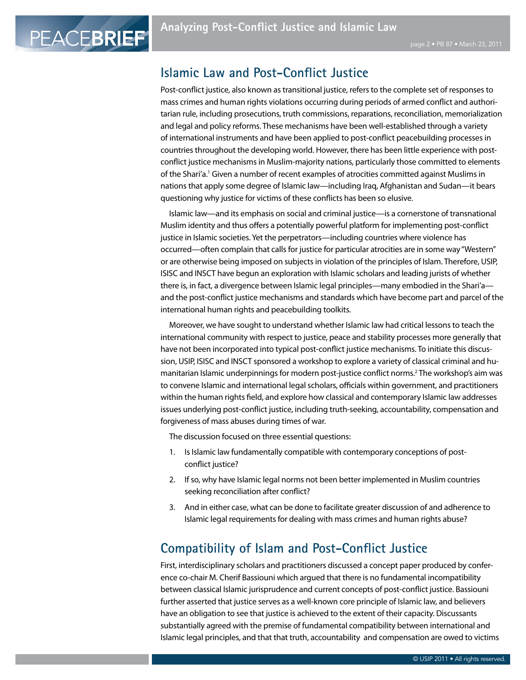# **Islamic Law and Post-Conflict Justice**

PEACEBRIEF

Post-conflict justice, also known as transitional justice, refers to the complete set of responses to mass crimes and human rights violations occurring during periods of armed conflict and authoritarian rule, including prosecutions, truth commissions, reparations, reconciliation, memorialization and legal and policy reforms. These mechanisms have been well-established through a variety of international instruments and have been applied to post-conflict peacebuilding processes in countries throughout the developing world. However, there has been little experience with postconflict justice mechanisms in Muslim-majority nations, particularly those committed to elements of the Shari'a.<sup>1</sup> Given a number of recent examples of atrocities committed against Muslims in nations that apply some degree of Islamic law—including Iraq, Afghanistan and Sudan—it bears questioning why justice for victims of these conflicts has been so elusive.

Islamic law—and its emphasis on social and criminal justice—is a cornerstone of transnational Muslim identity and thus offers a potentially powerful platform for implementing post-conflict justice in Islamic societies. Yet the perpetrators—including countries where violence has occurred—often complain that calls for justice for particular atrocities are in some way "Western" or are otherwise being imposed on subjects in violation of the principles of Islam. Therefore, USIP, ISISC and INSCT have begun an exploration with Islamic scholars and leading jurists of whether there is, in fact, a divergence between Islamic legal principles—many embodied in the Shari'a and the post-conflict justice mechanisms and standards which have become part and parcel of the international human rights and peacebuilding toolkits.

Moreover, we have sought to understand whether Islamic law had critical lessons to teach the international community with respect to justice, peace and stability processes more generally that have not been incorporated into typical post-conflict justice mechanisms. To initiate this discussion, USIP, ISISC and INSCT sponsored a workshop to explore a variety of classical criminal and humanitarian Islamic underpinnings for modern post-justice conflict norms.2 The workshop's aim was to convene Islamic and international legal scholars, officials within government, and practitioners within the human rights field, and explore how classical and contemporary Islamic law addresses issues underlying post-conflict justice, including truth-seeking, accountability, compensation and forgiveness of mass abuses during times of war.

The discussion focused on three essential questions:

- 1. Is Islamic law fundamentally compatible with contemporary conceptions of postconflict justice?
- 2. If so, why have Islamic legal norms not been better implemented in Muslim countries seeking reconciliation after conflict?
- 3. And in either case, what can be done to facilitate greater discussion of and adherence to Islamic legal requirements for dealing with mass crimes and human rights abuse?

# **Compatibility of Islam and Post-Conflict Justice**

First, interdisciplinary scholars and practitioners discussed a concept paper produced by conference co-chair M. Cherif Bassiouni which argued that there is no fundamental incompatibility between classical Islamic jurisprudence and current concepts of post-conflict justice. Bassiouni further asserted that justice serves as a well-known core principle of Islamic law, and believers have an obligation to see that justice is achieved to the extent of their capacity. Discussants substantially agreed with the premise of fundamental compatibility between international and Islamic legal principles, and that that truth, accountability and compensation are owed to victims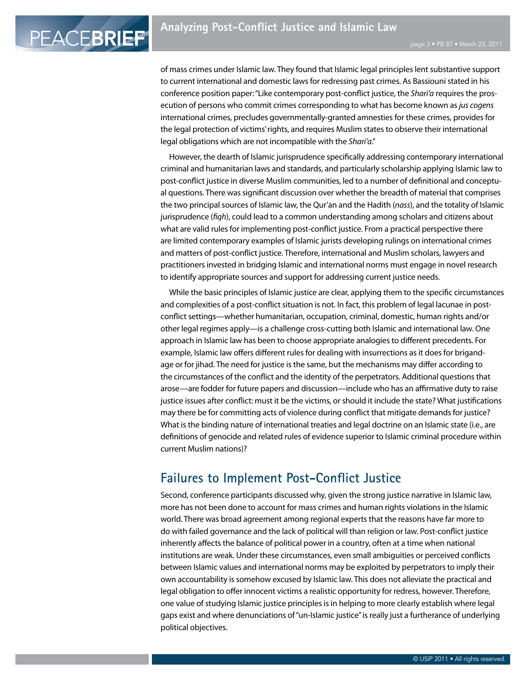PEACEBRIEF

of mass crimes under Islamic law. They found that Islamic legal principles lent substantive support to current international and domestic laws for redressing past crimes. As Bassiouni stated in his conference position paper: "Like contemporary post-conflict justice, the *Shari'a* requires the prosecution of persons who commit crimes corresponding to what has become known as *jus cogens*  international crimes, precludes governmentally-granted amnesties for these crimes, provides for the legal protection of victims' rights, and requires Muslim states to observe their international legal obligations which are not incompatible with the *Shari'a*."

However, the dearth of Islamic jurisprudence specifically addressing contemporary international criminal and humanitarian laws and standards, and particularly scholarship applying Islamic law to post-conflict justice in diverse Muslim communities, led to a number of definitional and conceptual questions. There was significant discussion over whether the breadth of material that comprises the two principal sources of Islamic law, the Qur'an and the Hadith (*nass*), and the totality of Islamic jurisprudence (*fiqh*), could lead to a common understanding among scholars and citizens about what are valid rules for implementing post-conflict justice. From a practical perspective there are limited contemporary examples of Islamic jurists developing rulings on international crimes and matters of post-conflict justice. Therefore, international and Muslim scholars, lawyers and practitioners invested in bridging Islamic and international norms must engage in novel research to identify appropriate sources and support for addressing current justice needs.

While the basic principles of Islamic justice are clear, applying them to the specific circumstances and complexities of a post-conflict situation is not. In fact, this problem of legal lacunae in postconflict settings—whether humanitarian, occupation, criminal, domestic, human rights and/or other legal regimes apply—is a challenge cross-cutting both Islamic and international law. One approach in Islamic law has been to choose appropriate analogies to different precedents. For example, Islamic law offers different rules for dealing with insurrections as it does for brigandage or for jihad. The need for justice is the same, but the mechanisms may differ according to the circumstances of the conflict and the identity of the perpetrators. Additional questions that arose—are fodder for future papers and discussion—include who has an affirmative duty to raise justice issues after conflict: must it be the victims, or should it include the state? What justifications may there be for committing acts of violence during conflict that mitigate demands for justice? What is the binding nature of international treaties and legal doctrine on an Islamic state (i.e., are definitions of genocide and related rules of evidence superior to Islamic criminal procedure within current Muslim nations)?

# **Failures to Implement Post-Conflict Justice**

Second, conference participants discussed why, given the strong justice narrative in Islamic law, more has not been done to account for mass crimes and human rights violations in the Islamic world. There was broad agreement among regional experts that the reasons have far more to do with failed governance and the lack of political will than religion or law. Post-conflict justice inherently affects the balance of political power in a country, often at a time when national institutions are weak. Under these circumstances, even small ambiguities or perceived conflicts between Islamic values and international norms may be exploited by perpetrators to imply their own accountability is somehow excused by Islamic law. This does not alleviate the practical and legal obligation to offer innocent victims a realistic opportunity for redress, however. Therefore, one value of studying Islamic justice principles is in helping to more clearly establish where legal gaps exist and where denunciations of "un-Islamic justice" is really just a furtherance of underlying political objectives.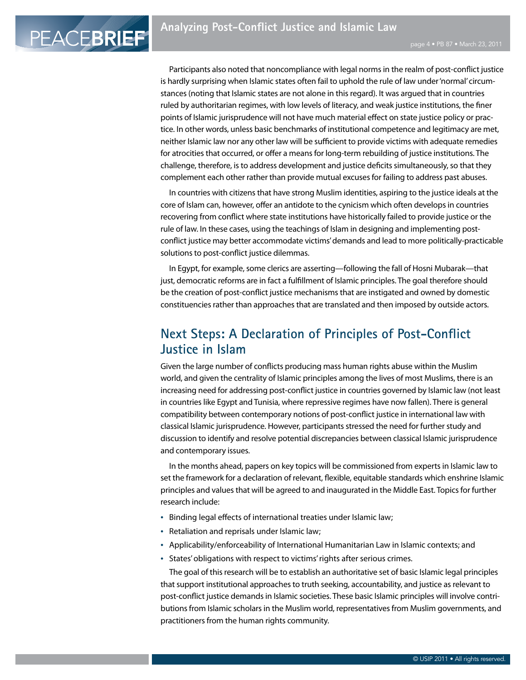PEACEBRIEF

Participants also noted that noncompliance with legal norms in the realm of post-conflict justice is hardly surprising when Islamic states often fail to uphold the rule of law under 'normal' circumstances (noting that Islamic states are not alone in this regard). It was argued that in countries ruled by authoritarian regimes, with low levels of literacy, and weak justice institutions, the finer points of Islamic jurisprudence will not have much material effect on state justice policy or practice. In other words, unless basic benchmarks of institutional competence and legitimacy are met, neither Islamic law nor any other law will be sufficient to provide victims with adequate remedies for atrocities that occurred, or offer a means for long-term rebuilding of justice institutions. The challenge, therefore, is to address development and justice deficits simultaneously, so that they complement each other rather than provide mutual excuses for failing to address past abuses.

In countries with citizens that have strong Muslim identities, aspiring to the justice ideals at the core of Islam can, however, offer an antidote to the cynicism which often develops in countries recovering from conflict where state institutions have historically failed to provide justice or the rule of law. In these cases, using the teachings of Islam in designing and implementing postconflict justice may better accommodate victims' demands and lead to more politically-practicable solutions to post-conflict justice dilemmas.

In Egypt, for example, some clerics are asserting—following the fall of Hosni Mubarak—that just, democratic reforms are in fact a fulfillment of Islamic principles. The goal therefore should be the creation of post-conflict justice mechanisms that are instigated and owned by domestic constituencies rather than approaches that are translated and then imposed by outside actors.

# **Next Steps: A Declaration of Principles of Post-Conflict Justice in Islam**

Given the large number of conflicts producing mass human rights abuse within the Muslim world, and given the centrality of Islamic principles among the lives of most Muslims, there is an increasing need for addressing post-conflict justice in countries governed by Islamic law (not least in countries like Egypt and Tunisia, where repressive regimes have now fallen). There is general compatibility between contemporary notions of post-conflict justice in international law with classical Islamic jurisprudence. However, participants stressed the need for further study and discussion to identify and resolve potential discrepancies between classical Islamic jurisprudence and contemporary issues.

In the months ahead, papers on key topics will be commissioned from experts in Islamic law to set the framework for a declaration of relevant, flexible, equitable standards which enshrine Islamic principles and values that will be agreed to and inaugurated in the Middle East. Topics for further research include:

- Binding legal effects of international treaties under Islamic law;
- Retaliation and reprisals under Islamic law;
- • Applicability/enforceability of International Humanitarian Law in Islamic contexts; and
- States' obligations with respect to victims' rights after serious crimes.

The goal of this research will be to establish an authoritative set of basic Islamic legal principles that support institutional approaches to truth seeking, accountability, and justice as relevant to post-conflict justice demands in Islamic societies. These basic Islamic principles will involve contributions from Islamic scholars in the Muslim world, representatives from Muslim governments, and practitioners from the human rights community.